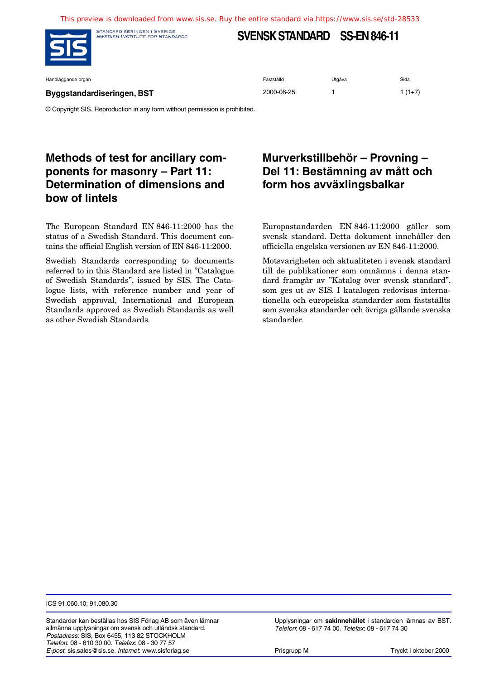This preview is downloaded from www.sis.se. Buy the entire standard via https://www.sis.se/std-28533

**STANDARDISERINGEN I SVERIGE**<br>SWEDISH INSTITUTE FOR STANDARDS

# **SVENSK STANDARD SS-EN 846-11**

Handläggande organ Fastställd Utgåva Sida

### **Byggstandardiseringen, BST** 2000-08-25 1 1 1 (1+7)

© Copyright SIS. Reproduction in any form without permission is prohibited.

## **Methods of test for ancillary components for masonry – Part 11: Determination of dimensions and bow of lintels**

The European Standard EN 846-11:2000 has the status of a Swedish Standard. This document contains the official English version of EN 846-11:2000.

Swedish Standards corresponding to documents referred to in this Standard are listed in "Catalogue of Swedish Standards", issued by SIS. The Catalogue lists, with reference number and year of Swedish approval, International and European Standards approved as Swedish Standards as well as other Swedish Standards.

## **Murverkstillbehör – Provning – Del 11: Bestämning av mått och form hos avväxlingsbalkar**

Europastandarden EN 846-11:2000 gäller som svensk standard. Detta dokument innehåller den officiella engelska versionen av EN 846-11:2000.

Motsvarigheten och aktualiteten i svensk standard till de publikationer som omnämns i denna standard framgår av "Katalog över svensk standard", som ges ut av SIS. I katalogen redovisas internationella och europeiska standarder som fastställts som svenska standarder och övriga gällande svenska standarder.

ICS 91.060.10; 91.080.30

Standarder kan beställas hos SIS Förlag AB som även lämnar allmänna upplysningar om svensk och utländsk standard. Postadress: SIS, Box 6455, 113 82 STOCKHOLM Telefon: 08 - 610 30 00. Telefax: 08 - 30 77 57 E-post: sis.sales@sis.se. Internet: www.sisforlag.se

Upplysningar om **sakinnehållet** i standarden lämnas av BST. Telefon: 08 - 617 74 00. Telefax: 08 - 617 74 30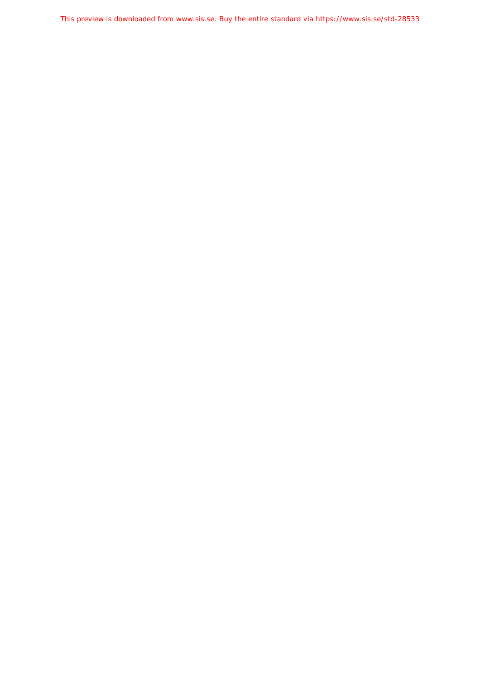This preview is downloaded from www.sis.se. Buy the entire standard via https://www.sis.se/std-28533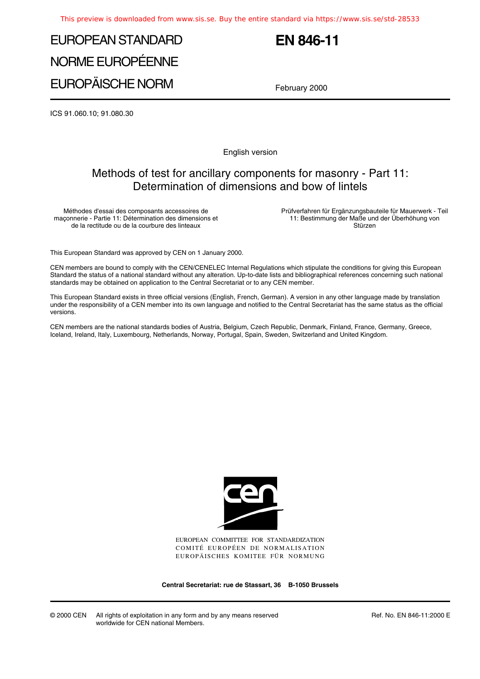This preview is downloaded from www.sis.se. Buy the entire standard via https://www.sis.se/std-28533

# EUROPEAN STANDARD NORME EUROPÉENNE

# **EN 846-11**

EUROPÄISCHE NORM

February 2000

ICS 91.060.10; 91.080.30

English version

## Methods of test for ancillary components for masonry - Part 11: Determination of dimensions and bow of lintels

Méthodes d'essai des composants accessoires de maçonnerie - Partie 11: Détermination des dimensions et de la rectitude ou de la courbure des linteaux

Prüfverfahren für Ergänzungsbauteile für Mauerwerk - Teil 11: Bestimmung der Maße und der Überhöhung von Stürzen

This European Standard was approved by CEN on 1 January 2000.

CEN members are bound to comply with the CEN/CENELEC Internal Regulations which stipulate the conditions for giving this European Standard the status of a national standard without any alteration. Up-to-date lists and bibliographical references concerning such national standards may be obtained on application to the Central Secretariat or to any CEN member.

This European Standard exists in three official versions (English, French, German). A version in any other language made by translation under the responsibility of a CEN member into its own language and notified to the Central Secretariat has the same status as the official versions.

CEN members are the national standards bodies of Austria, Belgium, Czech Republic, Denmark, Finland, France, Germany, Greece, Iceland, Ireland, Italy, Luxembourg, Netherlands, Norway, Portugal, Spain, Sweden, Switzerland and United Kingdom.



EUROPEAN COMMITTEE FOR STANDARDIZATION COMITÉ EUROPÉEN DE NORMALISATION EUROPÄISCHES KOMITEE FÜR NORMUNG

**Central Secretariat: rue de Stassart, 36 B-1050 Brussels**

© 2000 CEN All rights of exploitation in any form and by any means reserved worldwide for CEN national Members.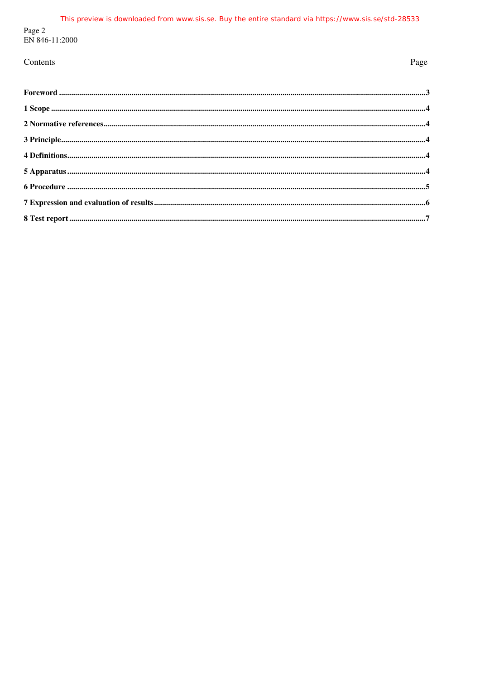## Contents

|--|

| $\frac{1}{2}$ $\frac{1}{2}$ $\frac{1}{2}$ $\frac{1}{2}$ $\frac{1}{2}$ $\frac{1}{2}$ $\frac{1}{2}$ $\frac{1}{2}$ $\frac{1}{2}$ $\frac{1}{2}$ $\frac{1}{2}$ $\frac{1}{2}$ $\frac{1}{2}$ $\frac{1}{2}$ $\frac{1}{2}$ $\frac{1}{2}$ $\frac{1}{2}$ $\frac{1}{2}$ $\frac{1}{2}$ $\frac{1}{2}$ $\frac{1}{2}$ $\frac{1}{2}$ |  |
|---------------------------------------------------------------------------------------------------------------------------------------------------------------------------------------------------------------------------------------------------------------------------------------------------------------------|--|
|                                                                                                                                                                                                                                                                                                                     |  |
|                                                                                                                                                                                                                                                                                                                     |  |
|                                                                                                                                                                                                                                                                                                                     |  |
|                                                                                                                                                                                                                                                                                                                     |  |
|                                                                                                                                                                                                                                                                                                                     |  |
|                                                                                                                                                                                                                                                                                                                     |  |
|                                                                                                                                                                                                                                                                                                                     |  |
|                                                                                                                                                                                                                                                                                                                     |  |
|                                                                                                                                                                                                                                                                                                                     |  |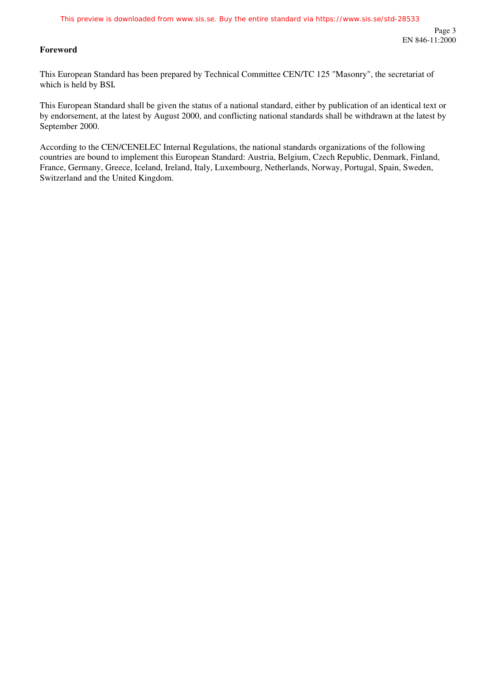This European Standard has been prepared by Technical Committee CEN/TC 125 "Masonry", the secretariat of which is held by BSI*.*

This European Standard shall be given the status of a national standard, either by publication of an identical text or by endorsement, at the latest by August 2000, and conflicting national standards shall be withdrawn at the latest by September 2000.

According to the CEN/CENELEC Internal Regulations, the national standards organizations of the following countries are bound to implement this European Standard: Austria, Belgium, Czech Republic, Denmark, Finland, France, Germany, Greece, Iceland, Ireland, Italy, Luxembourg, Netherlands, Norway, Portugal, Spain, Sweden, Switzerland and the United Kingdom.